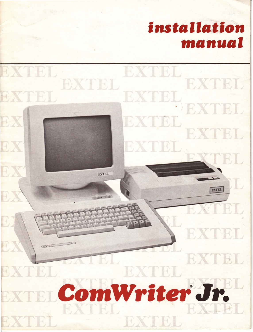

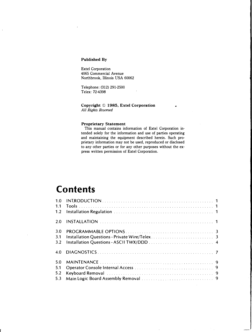#### Published By

Extel Corporation 4065 Commercial Avenue Northbrook, Illinois USA 60062

Telephone: (312) 291-2500 Telex: 72-4398

Copyright © 1985, Extel Corporation All Rights Reserved

#### Proprietary Statement

This manual contains information of Extel Corporation intended solely for the information and use of parties operating and maintaining the equipment described herein. Such proprietary information may not be used, reproduced or disclosed to any other parties or for any other purposes without the express written permission of Extel Corporation.

# Contents

| 1.0 |  |
|-----|--|
| 1.1 |  |
| 1.2 |  |
| 2.0 |  |
| 3.0 |  |
| 3.1 |  |
| 3.2 |  |
| 4.0 |  |
| 5.0 |  |
| 5.1 |  |
| 5.2 |  |
| 5.3 |  |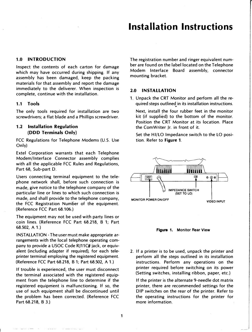# Installation Instructions

## 1.0 INTRODUCTION

Inspect the contents of each carton for damage which may have occurred during shipping. If any assembly has been damaged, keep the packing materials for that assembly and report the damage immediately to the deliverer. When inspection is complete, continue with the installation.

#### 1.1 Tools

The only tools required for installation are two screwdrivers; a flat blade and a Phillips screwdriver.

#### 1.2 Installation Regulation (ODD Terminals Only)

FCC Regulations for Telephone Modems (U.S. Use Only)

Extel Corporation warrants that each Telephone Modem/Interface Connector assembly complies with all the applicable FCC Rules and Regulations, Part 68, Sub-part D.

Users connecting terminal equipment to the telephone network shall, before such connection is made, give notice to the telephone company of the particular line or lines to which such connection is made, and shall provide to the telephone company, the FCC Registration Number of the equipment. (Reference FCC Part 68.106.)

The equipment may not be used with party lines or coin lines. (Reference FCC Part 68.218, B 1; Part 68.502, A 1.)

INSTALLATION- The user must make appropriate arrangements with the local telephone operating company to provide a USOC Code RJ11C# jack, or equivalent (including adapter if required), for each teleprinter terminal employing the registered equipment. (Reference FCC Part 68.218, B 1; Part 68.502, A 1.)

If trouble is experienced, the user must disconnect the terminal associated with the registered equipment from the telephone line to determine if the registered equipment is malfunctioning. If so, the use of such equipment shall be discontinued until the problem has been corrected. (Reference FCC Part 68.218, B 3.)

The registration number and ringer equivalent number are found on the label located on the Telephone Modem Interface Board assembly, connector mounting bracket.

#### 2.0 INSTALLATION

1. Unpack the CRT Monitor and perform all the required steps outlined . in its installation instructions.

Next, install the four rubber feet in the monitor kit (if supplied) to the bottom of the monitor. Position the CRT Monitor at its location. Place the Com Writer Jr. in front of it.

Set the HI/LO Impedance switch to the LO position. Refer to Figure 1.



Figure 1. Monitor Rear View

2. If a printer is to be used, unpack the printer and perform all the steps outlined in its installation instructions. Perform any operations on the printer required before switching on its power (Setting switches, installing ribbon, paper, etc.)

If the printer is the alternate 9-needle dot matrix printer, there are recommended settings for the DIP switches on the rear of the printer. Refer to the operating instructions for the printer for more information.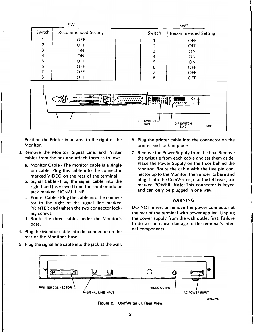|                                                                                                                                                                                                                                                                       | SW1                        |  | SW <sub>2</sub>  |                            |  |  |  |
|-----------------------------------------------------------------------------------------------------------------------------------------------------------------------------------------------------------------------------------------------------------------------|----------------------------|--|------------------|----------------------------|--|--|--|
| Switch                                                                                                                                                                                                                                                                | <b>Recommended Setting</b> |  | Switch           | <b>Recommended Setting</b> |  |  |  |
| 1                                                                                                                                                                                                                                                                     | <b>OFF</b>                 |  |                  | <b>OFF</b>                 |  |  |  |
| $\boldsymbol{2}$                                                                                                                                                                                                                                                      | <b>OFF</b>                 |  | $\boldsymbol{2}$ | <b>OFF</b>                 |  |  |  |
| $\overline{3}$                                                                                                                                                                                                                                                        | ON                         |  | 3                | ON                         |  |  |  |
| $\overline{\mathbf{4}}$                                                                                                                                                                                                                                               | ON                         |  | $\overline{4}$   | ON                         |  |  |  |
| 5                                                                                                                                                                                                                                                                     | <b>OFF</b>                 |  | 5                | ON                         |  |  |  |
| 6                                                                                                                                                                                                                                                                     | <b>OFF</b>                 |  | 6                | <b>OFF</b>                 |  |  |  |
| 7                                                                                                                                                                                                                                                                     | <b>OFF</b>                 |  | 7                | <b>OFF</b>                 |  |  |  |
| 8                                                                                                                                                                                                                                                                     | <b>OFF</b>                 |  | 8                | <b>OFF</b>                 |  |  |  |
| au Minimurmulanin<br>$\begin{bmatrix} 1 & 2 & 3 & 4 & 5 & 6 & 7 & 8 \ 1 & 2 & 3 & 4 & 5 & 6 & 7 & 8 \ \end{bmatrix}$<br>ON<br>HHHHHHH<br><b>OFF♥</b><br>مص<br>$\ddot{\phantom{1}}$<br>DIP SWITCH -<br><b>DIP SWITCH</b><br>SW <sub>1</sub><br>4259<br>SW <sub>2</sub> |                            |  |                  |                            |  |  |  |

Position the Printer in an area to the right of the Monitor.

- 3. Remove the Monitor, Signal Line, and Pri.1ter cables from the box and attach them as follows:
	- a. Monitor Cable- The monitor cable is a single pin cable. Plug this cable into the connector marked VIDEO on the rear of the terminal.
	- b. Signal Cable- Plug the signal cable into the right hand (as viewed from the front) modular jack marked SIGNAL LINE.
	- c. Printer Cable Plug the cable into the connector to the right of the signal line marked PRINTER and tighten the two connector locking screws.
	- d. Route the three cables under the Monitor's base.
- 4. Plug the Monitor cable into the connector on the rear of the Monitor's base.

5. Plug the signal line cable into the jack at the wall.

- 6. Plug the printer cable into the connector on the printer and lock in place.
- 7. Remove the Power Supply from the box. Remove the twist tie from each cable and set them aside. Place the Power Supply on the floor behind the Monitor. Route the cable with the five pin connector up to the Monitor, then under its base and plug it into the ComWriter Jr. at the left rear jack marked POWER. Note: This connector is keyed and can only be plugged in one way.

#### WARNING

DO NOT insert or remove the power connector at the rear of the terminal with power applied. Unplug the power supply from the wall outlet first. Failure to do so can cause damage to the terminal's internal components.



Figure 2. ComWriter Jr. Rear View.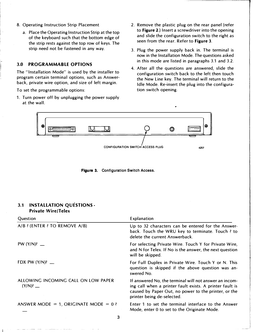- 8. Operating Instruction Strip Placement
	- a. Place the Operating Instruction Strip at the top of the keyboard such that the bottom edge of the strip rests against the top row of keys. The strip need not be fastened in any way.

## 3.0 PROGRAMMABLE OPTIONS

I·

The "Installation Mode" is used by the installer to program certain terminal options, such as Answerback, private wire option, and size of left margin.

To set the programmable options:

1. Turn power off by unplugging the power supply at the wall.

- 2. Remove the plastic plug on the rear panel (refer to Figure 2.) Insert a screwdriver into the opening and slide the configuration switch to the right as seen from the rear. Refer to Figure 3.
- 3. Plug the power supply back in. The terminal is now in the Installation Mode. The questions asked in this mode are listed in paragraphs 3.1 and 3.2.
- 4. After all the questions are answered, slide the configuration switch back to the left then touch the New Line key. The terminal will return to the Idle Mode. Re-insert the plug into the configuration switch opening.



Figure 3. Configuration Switch Access.

## 3.1 INSTALLATION QUESTIONS-Private Wire/Telex

| Question                                | Explanation                                                                                                                                                                                              |
|-----------------------------------------|----------------------------------------------------------------------------------------------------------------------------------------------------------------------------------------------------------|
| A/B ? (ENTER ? TO REMOVE A/B)           | Up to 32 characters can be entered for the Answer-<br>back. Touch the WRU key to terminate. Touch ? to<br>delete the current Answerback.                                                                 |
| PW $(Y/N)$ ? —                          | For selecting Private Wire. Touch Y for Private Wire,<br>and N for Telex. If No is the answer, the next question<br>will be skipped.                                                                     |
| FDX PW $(Y/N)$ ? __                     | For Full Duplex in Private Wire. Touch Y or N. This<br>question is skipped if the above question was an-<br>swered No.                                                                                   |
| ALLOWING INCOMING CALL ON LOW PAPER     | If answered No, the terminal will not answer an incom-<br>ing call when a printer fault exists. A printer fault is<br>caused by Paper Out, no power to the printer, or the<br>printer being de-selected. |
| ANSWER MODE = 1, ORIGINATE MODE = $0$ ? | Enter 1 to set the terminal interface to the Answer<br>Mode, enter 0 to set to the Originate Mode.                                                                                                       |
| 3                                       |                                                                                                                                                                                                          |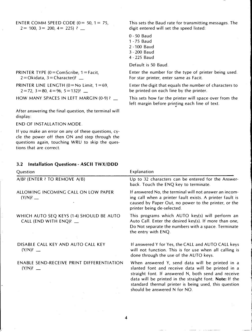ENTER COMM SPEED CODE ( $0 = 50$ ,  $1 = 75$ ,  $2= 100$ ,  $3= 200$ ,  $4= 225$ ) ?

This sets the Baud rate for transmitting messages. The digit entered will set the speed listed:

- 0-50 Baud 1 -75 Baud 2 -100 Baud 3-200 Baud
- 4- 225 Baud

Default is 50 Baud.

Enter the number for the type of printer being used. For star printer, enter same as Facit.

Enter the digit that equals the number of characters to be printed on each line by the printer.

This sets how far the printer will space over from the left margin before printing each line of text.

> ' la de la ca \_j

PRINTER TYPE  $(0 = \text{ComScript, } 1 = \text{Facit},$  $2 = O$ kidata,  $3 = Character)$ ? \_\_

PRINTER LINE LENGTH  $(0 = No$  Limit,  $1 = 69$ ,  $2 = 72$ ,  $3 = 80$ ,  $4 = 96$ ,  $5 = 132$ ? \_\_

HOW MANY SPACES IN LEFT MARGIN (0-9)? \_\_

After answering the final question, the terminal will display:

END OF INSTALLATION MODE.

If you make an error on any of these questions, cycle the power off then ON and step through the questions again, touching WRU to skip the questions that are correct.

## 3.2 Installation Questions- ASCII TWX/ODD

| Question                                                           | Explanation                                                                                                                                                                                                                                                                                                      |
|--------------------------------------------------------------------|------------------------------------------------------------------------------------------------------------------------------------------------------------------------------------------------------------------------------------------------------------------------------------------------------------------|
| A/B? (ENTER ? TO REMOVE A/B)                                       | Up to 32 characters can be entered for the Answer-<br>back. Touch the ENQ key to terminate.                                                                                                                                                                                                                      |
| ALLOWING INCOMING CALL ON LOW PAPER                                | If answered No, the terminal will not answer an incom-<br>ing call when a printer fault exists. A printer fault is<br>caused by Paper Out, no power to the printer, or the<br>printer being de-selected.                                                                                                         |
| WHICH AUTO SEQ KEYS (1-4) SHOULD BE AUTO<br>CALL (END WITH ENQ)? _ | This programs which AUTO key(s) will perform an<br>Auto Call. Enter the desired key(s). If more than one,<br>Do Not separate the numbers with a space. Terminate<br>the entry with ENQ.                                                                                                                          |
| DISABLE CALL KEY AND AUTO CALL KEY<br>$(Y/N)?$ _                   | If answered Y for Yes, the CALL and AUTO CALL keys<br>will not function. This is for use when all calling is<br>done through the use of the AUTO keys.                                                                                                                                                           |
| <b>ENABLE SEND-RECEIVE PRINT DIFFERENTIATION</b><br>$(Y/N)?$ —     | When answered Y, send data will be printed in a<br>slanted font and receive data will be printed in a<br>straight font. If answered N, both send and receive<br>data will be printed in the straight font. Note: If the<br>standard thermal printer is being used, this question<br>should be answered N for NO. |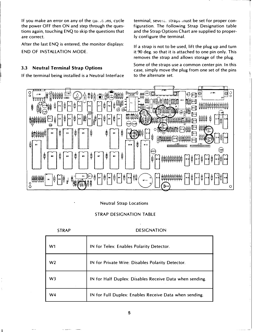If you make an error on any of the questions, cycle the power OFF then ON and step through the questions again, touching ENQ to skip the questions that are correct.

After the last ENQ is entered, the monitor displays: END OF INSTALLATION MODE.

# 3.3 Neutral Terminal Strap Options

If the terminal being installed is a Neutral Interface

terminal, several straps inust be set for proper configuration. The following Strap Designation table and the Strap Options Chart are supplied to properly configure the terminal.

-------�

I

If a strap is not to be used, lift the plug up and turn it 90 deg. so that it is attached to one pin only. This removes the strap and allows storage of the plug.

Some of the straps use a common center pin. In this case, simply move the plug from one set of the pins to the alternate set.



## Neutral Strap Locations

## STRAP DESIGNATION TABLE

| <b>STRAP</b>   | <b>DESIGNATION</b>                                      |
|----------------|---------------------------------------------------------|
| W1             | IN for Telex: Enables Polarity Detector.                |
| W <sub>2</sub> | IN for Private Wire: Disables Polarity Detector.        |
| W <sub>3</sub> | IN for Half Duplex: Disables Receive Data when sending. |
| W4             | IN for Full Duplex: Enables Receive Data when sending.  |

5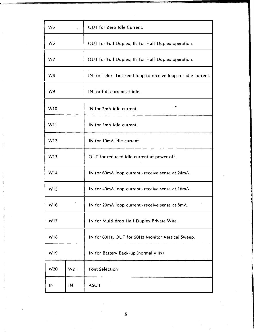| W <sub>5</sub>  |     | <b>OUT for Zero Idle Current.</b>                              |  |  |  |
|-----------------|-----|----------------------------------------------------------------|--|--|--|
| W <sub>6</sub>  |     | OUT for Full Duplex, IN for Half Duplex operation.             |  |  |  |
| W7              |     | OUT for Full Duplex, IN for Half Duplex operation.             |  |  |  |
| W <sub>8</sub>  |     | IN for Telex: Ties send loop to receive loop for idle current. |  |  |  |
| W9              |     | IN for full current at idle.                                   |  |  |  |
| W10             |     | IN for 2mA idle current.                                       |  |  |  |
| W11             |     | IN for 5mA idle current.                                       |  |  |  |
| W12             |     | IN for 10mA idle current.                                      |  |  |  |
| W13             |     | OUT for reduced idle current at power off.                     |  |  |  |
| W14             |     | IN for 60mA loop current - receive sense at 24mA.              |  |  |  |
| W15             |     | IN for 40mA loop current - receive sense at 16mA.              |  |  |  |
| W16             |     | IN for 20mA loop current - receive sense at 8mA.               |  |  |  |
| W17             |     | IN for Multi-drop Half Duplex Private Wire.                    |  |  |  |
| W18             |     | IN for 60Hz, OUT for 50Hz Monitor Vertical Sweep.              |  |  |  |
| W19             |     | IN for Battery Back-up (normally IN).                          |  |  |  |
| W <sub>20</sub> | W21 | <b>Font Selection</b>                                          |  |  |  |
| IN              | IN  | <b>ASCII</b>                                                   |  |  |  |

6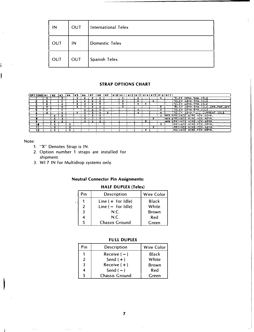| IN  | OUT | <b>International Telex</b> |  |  |  |  |  |  |
|-----|-----|----------------------------|--|--|--|--|--|--|
| OUT | IN  | <b>Domestic Telex</b>      |  |  |  |  |  |  |
| OUT | OUT | Spanish Telex              |  |  |  |  |  |  |

#### **STRAP OPTIONS CHART**

| <b>TOPTIONS V1</b> | ∤ ⊎2 | <b>INS INA</b> | <b>JWS</b> |  |  |  |  |  | (W6 {W7 {W8 {W9 {W10}V11}V12}V13}V14}V15}V16}V17} |                                      |
|--------------------|------|----------------|------------|--|--|--|--|--|---------------------------------------------------|--------------------------------------|
|                    |      |                |            |  |  |  |  |  |                                                   | TELEX 20MA, 5MA, IDLE                |
|                    |      |                |            |  |  |  |  |  |                                                   | <u> TELEX AØMA,SMA.IDLE.</u>         |
|                    |      |                |            |  |  |  |  |  |                                                   | TELEX 60MA.SMA.IDLE                  |
|                    |      |                |            |  |  |  |  |  |                                                   | TELEX 20MA. SMA. IDLE. 2MA. PWR. OFF |
|                    |      |                |            |  |  |  |  |  |                                                   | TELEX 20MA.0MA.IDLE                  |
|                    |      |                |            |  |  |  |  |  |                                                   | <u> TELEX 20MA,FULL CURRENT IDLE</u> |
|                    |      |                |            |  |  |  |  |  |                                                   | MOTE SPRIVATE WIRE, HOX, 22MA,       |
|                    |      |                |            |  |  |  |  |  |                                                   | INGTE SPRIVATE VIRE, HDX, 40MA.      |
|                    |      |                |            |  |  |  |  |  |                                                   | MOTE RPRIVATE WIRE, HDX, 60MA.       |
| 1 8                |      |                |            |  |  |  |  |  |                                                   | IPRIVATE WIRE.FDX.20MA.              |
|                    |      |                |            |  |  |  |  |  |                                                   | <u>IPRIVATE WIRE.FDX.40MA.</u>       |
| 12                 |      |                |            |  |  |  |  |  |                                                   | PRIVATE WIRE.FDX.60MA.               |

Note:

- 1. "X" Denotes Strap is IN.
- 2. Option number 1 straps are installed for shipment.
- 3. WI 7 IN for Multidrop systems only.

# **Neutral Connector Pin Assignments:**

# **HALF DUPLEX (Telex)**

| Pin | <b>Description</b>    | <b>Wire Color</b> |
|-----|-----------------------|-------------------|
|     | Line $( +$ for Idle)  | Black             |
| 2   | Line $(-$ for Idle)   | White             |
| 3   | N.C.                  | <b>Brown</b>      |
| 4   | N.C.                  | Red               |
|     | <b>Chassis Ground</b> | Green             |

#### **FULL DUPLEX**

| Pin           | <b>Description</b>    | Wire Color   |
|---------------|-----------------------|--------------|
|               | Receive $(-)$         | <b>Black</b> |
| $\mathcal{P}$ | Send $(+)$            | White        |
| 3             | Receive $(+)$         | <b>Brown</b> |
|               | Send $(-)$            | Red          |
|               | <b>Chassis Ground</b> | Green        |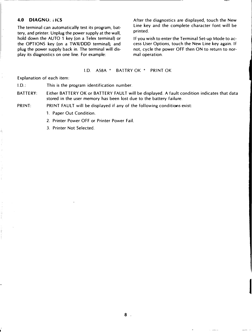### 4.0 DIAGNO. HCS

The terminal can automatically test its program, battery, and printer. Unplug the power supply at the wall, hold down the AUTO 1 key (on a Telex terminal) or the OPTIONS key (on a TWX/DDD terminal), and plug the power supply back in. The terminal will display its diagnostics on one line. For example:

After the diagnostics are displayed, touch the New Line key and the complete character font will be printed.

If you wish to enter the Terminal Set-up Mode to access User Options, touch the New Line key again. If not, cycle the power OFF then ON to return to normal operation.

I

#### I.D. AS8A \* BATTRY OK \* PRINT OK

Explanation of each item:

 $I.D.:$ This is the program identification number.

BATTERY: Either BATTERY OK or BATTERY FAULT will be displayed. A fault condition indicates that data stored in the user memory has been lost due to the battery failure.

PRINT: PRINT FAULT will be displayed if any of the following conditions exist:

- 1. Paper Out Condition.
- 2. Printer Power OFF or Printer Power Fail.
- 3. Printer Not Selected.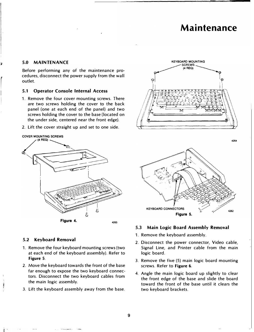# Maintenance

4264

## 5.0 MAINTENANCE

r

Before performing any of the maintenance procedures, disconnect the power supply from the wall outlet.

### 5.1 Operator Console Internal Access

- 1. Remove the four cover mounting screws. There are two screws holding the cover to the back panel (one at each end of the panel) and two screws holding the cover to the base (located on the under side, centered near the front edge).
- 2. Lift the cover straight up and set to one side.



#### 5.2 Keyboard Removal

- 1. Remove the four keyboard mounting screws (two at each end of the keyboard assembly). Refer to Figure 5.
- 2. Move the keyboard towards the front of the base far enough to expose the two keyboard connectors. Disconnect the two keyboard cables from the main logic assembly.
- 3. Lift the keyboard assembly away from the base.



KEYBOARD CONNECTORS 4262 Figure 5.

#### 5.3 Main Logic Board Assembly Removal

- 1. Remove the keyboard assembly.
- 2. Disconnect the power connector, Video cable, Signal Line, and Printer cable from the main logic board.
- 3. Remove the five (5) main logic board mounting screws. Refer to Figure 6.
- 4. Angle the main logic board up slightly to clear the front edge of the base and slide the board toward the front of the base until it clears the two keyboard brackets.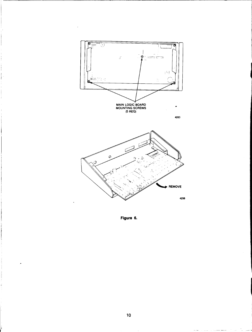

J.



light the company of the company of the company of the company of the company of the company of the company of